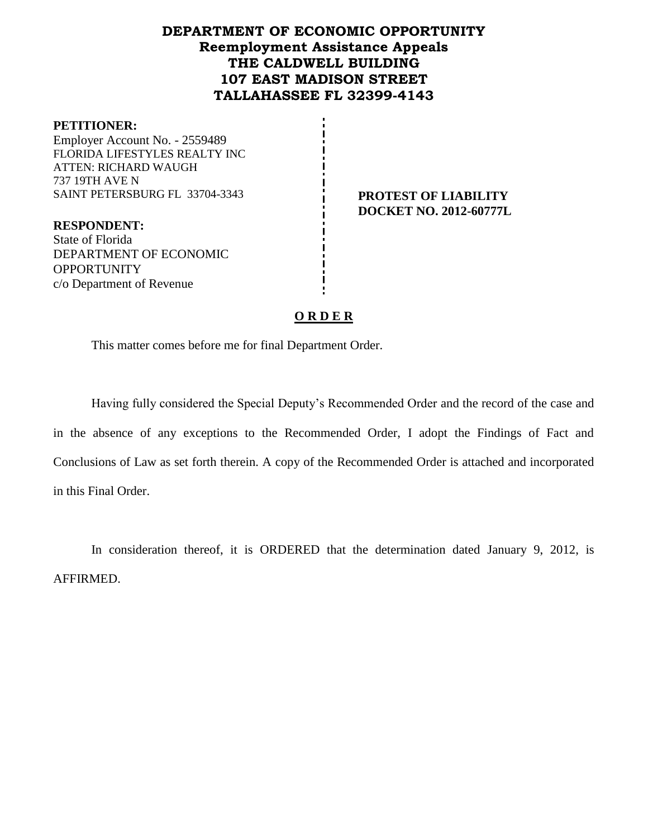# **DEPARTMENT OF ECONOMIC OPPORTUNITY Reemployment Assistance Appeals THE CALDWELL BUILDING 107 EAST MADISON STREET TALLAHASSEE FL 32399-4143**

#### **PETITIONER:**

Employer Account No. - 2559489 FLORIDA LIFESTYLES REALTY INC ATTEN: RICHARD WAUGH 737 19TH AVE N SAINT PETERSBURG FL 33704-3343 **PROTEST OF LIABILITY** 

**DOCKET NO. 2012-60777L**

**RESPONDENT:** State of Florida DEPARTMENT OF ECONOMIC **OPPORTUNITY** c/o Department of Revenue

## **O R D E R**

This matter comes before me for final Department Order.

Having fully considered the Special Deputy's Recommended Order and the record of the case and in the absence of any exceptions to the Recommended Order, I adopt the Findings of Fact and Conclusions of Law as set forth therein. A copy of the Recommended Order is attached and incorporated in this Final Order.

In consideration thereof, it is ORDERED that the determination dated January 9, 2012, is AFFIRMED.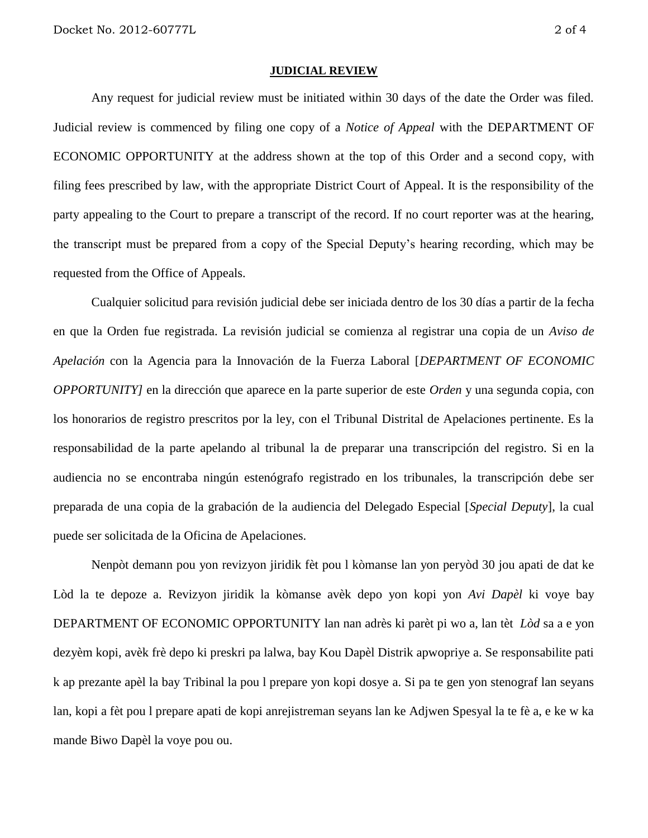#### **JUDICIAL REVIEW**

Any request for judicial review must be initiated within 30 days of the date the Order was filed. Judicial review is commenced by filing one copy of a *Notice of Appeal* with the DEPARTMENT OF ECONOMIC OPPORTUNITY at the address shown at the top of this Order and a second copy, with filing fees prescribed by law, with the appropriate District Court of Appeal. It is the responsibility of the party appealing to the Court to prepare a transcript of the record. If no court reporter was at the hearing, the transcript must be prepared from a copy of the Special Deputy's hearing recording, which may be requested from the Office of Appeals.

Cualquier solicitud para revisión judicial debe ser iniciada dentro de los 30 días a partir de la fecha en que la Orden fue registrada. La revisión judicial se comienza al registrar una copia de un *Aviso de Apelación* con la Agencia para la Innovación de la Fuerza Laboral [*DEPARTMENT OF ECONOMIC OPPORTUNITY]* en la dirección que aparece en la parte superior de este *Orden* y una segunda copia, con los honorarios de registro prescritos por la ley, con el Tribunal Distrital de Apelaciones pertinente. Es la responsabilidad de la parte apelando al tribunal la de preparar una transcripción del registro. Si en la audiencia no se encontraba ningún estenógrafo registrado en los tribunales, la transcripción debe ser preparada de una copia de la grabación de la audiencia del Delegado Especial [*Special Deputy*], la cual puede ser solicitada de la Oficina de Apelaciones.

Nenpòt demann pou yon revizyon jiridik fèt pou l kòmanse lan yon peryòd 30 jou apati de dat ke Lòd la te depoze a. Revizyon jiridik la kòmanse avèk depo yon kopi yon *Avi Dapèl* ki voye bay DEPARTMENT OF ECONOMIC OPPORTUNITY lan nan adrès ki parèt pi wo a, lan tèt *Lòd* sa a e yon dezyèm kopi, avèk frè depo ki preskri pa lalwa, bay Kou Dapèl Distrik apwopriye a. Se responsabilite pati k ap prezante apèl la bay Tribinal la pou l prepare yon kopi dosye a. Si pa te gen yon stenograf lan seyans lan, kopi a fèt pou l prepare apati de kopi anrejistreman seyans lan ke Adjwen Spesyal la te fè a, e ke w ka mande Biwo Dapèl la voye pou ou.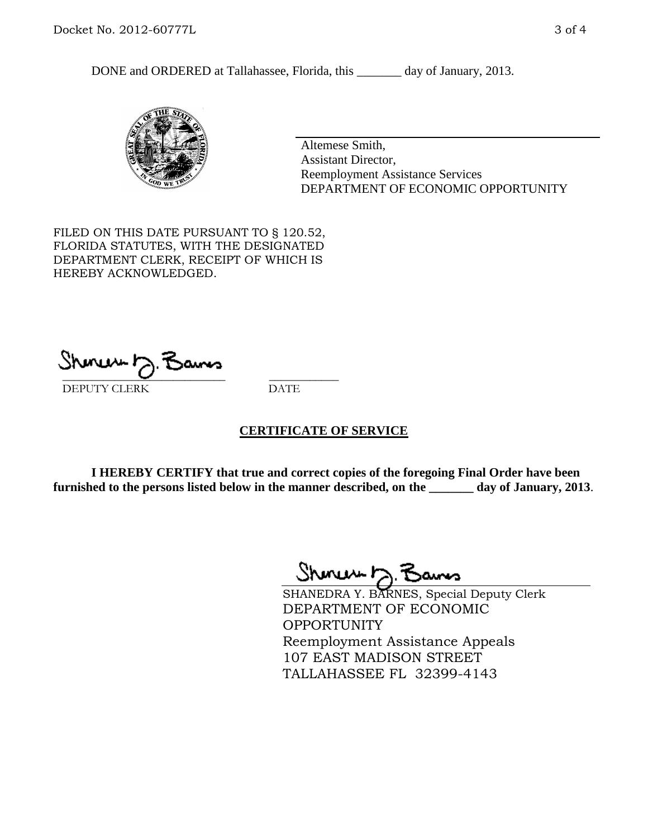DONE and ORDERED at Tallahassee, Florida, this \_\_\_\_\_\_\_ day of January, 2013.



Altemese Smith, Assistant Director, Reemployment Assistance Services DEPARTMENT OF ECONOMIC OPPORTUNITY

FILED ON THIS DATE PURSUANT TO § 120.52, FLORIDA STATUTES, WITH THE DESIGNATED DEPARTMENT CLERK, RECEIPT OF WHICH IS HEREBY ACKNOWLEDGED.

 $\overline{\phantom{a}}$  ,  $\overline{\phantom{a}}$  ,  $\overline{\phantom{a}}$  ,  $\overline{\phantom{a}}$  ,  $\overline{\phantom{a}}$  ,  $\overline{\phantom{a}}$  ,  $\overline{\phantom{a}}$  ,  $\overline{\phantom{a}}$ DEPUTY CLERK DATE

## **CERTIFICATE OF SERVICE**

**I HEREBY CERTIFY that true and correct copies of the foregoing Final Order have been furnished to the persons listed below in the manner described, on the \_\_\_\_\_\_\_ day of January, 2013**.

 $ShmumD.$ 

SHANEDRA Y. BARNES, Special Deputy Clerk DEPARTMENT OF ECONOMIC **OPPORTUNITY** Reemployment Assistance Appeals 107 EAST MADISON STREET TALLAHASSEE FL 32399-4143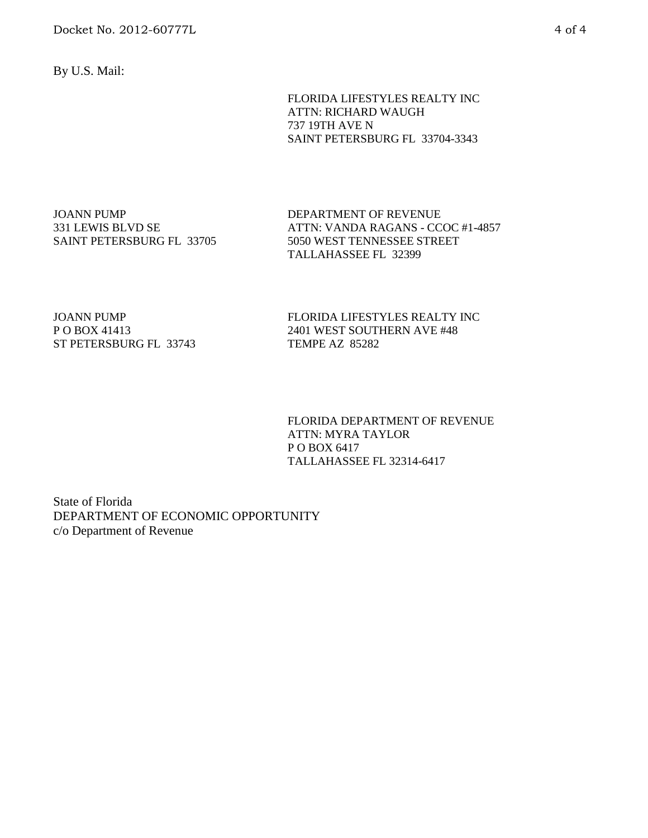Docket No. 2012-60777L 4 of 4

By U.S. Mail:

FLORIDA LIFESTYLES REALTY INC ATTN: RICHARD WAUGH 737 19TH AVE N SAINT PETERSBURG FL 33704-3343

JOANN PUMP 331 LEWIS BLVD SE SAINT PETERSBURG FL 33705 DEPARTMENT OF REVENUE ATTN: VANDA RAGANS - CCOC #1-4857 5050 WEST TENNESSEE STREET TALLAHASSEE FL 32399

JOANN PUMP P O BOX 41413 ST PETERSBURG FL 33743 FLORIDA LIFESTYLES REALTY INC 2401 WEST SOUTHERN AVE #48 TEMPE AZ 85282

FLORIDA DEPARTMENT OF REVENUE ATTN: MYRA TAYLOR P O BOX 6417 TALLAHASSEE FL 32314-6417

State of Florida DEPARTMENT OF ECONOMIC OPPORTUNITY c/o Department of Revenue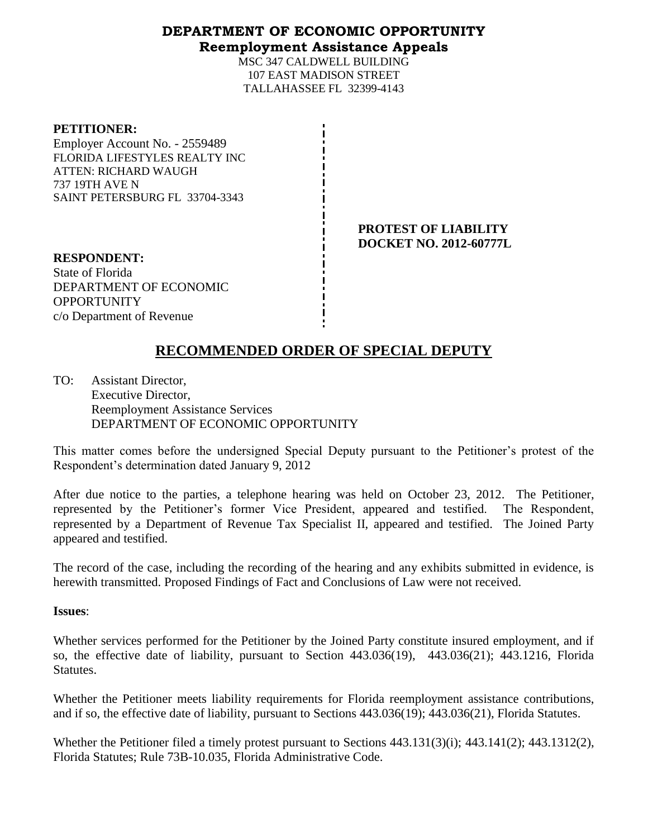## **DEPARTMENT OF ECONOMIC OPPORTUNITY Reemployment Assistance Appeals**

MSC 347 CALDWELL BUILDING 107 EAST MADISON STREET TALLAHASSEE FL 32399-4143

#### **PETITIONER:**

Employer Account No. - 2559489 FLORIDA LIFESTYLES REALTY INC ATTEN: RICHARD WAUGH 737 19TH AVE N SAINT PETERSBURG FL 33704-3343

> **PROTEST OF LIABILITY DOCKET NO. 2012-60777L**

**RESPONDENT:** State of Florida DEPARTMENT OF ECONOMIC **OPPORTUNITY** c/o Department of Revenue

# **RECOMMENDED ORDER OF SPECIAL DEPUTY**

TO: Assistant Director, Executive Director, Reemployment Assistance Services DEPARTMENT OF ECONOMIC OPPORTUNITY

This matter comes before the undersigned Special Deputy pursuant to the Petitioner's protest of the Respondent's determination dated January 9, 2012

After due notice to the parties, a telephone hearing was held on October 23, 2012. The Petitioner, represented by the Petitioner's former Vice President, appeared and testified. The Respondent, represented by a Department of Revenue Tax Specialist II, appeared and testified. The Joined Party appeared and testified.

The record of the case, including the recording of the hearing and any exhibits submitted in evidence, is herewith transmitted. Proposed Findings of Fact and Conclusions of Law were not received.

## **Issues**:

Whether services performed for the Petitioner by the Joined Party constitute insured employment, and if so, the effective date of liability, pursuant to Section 443.036(19), 443.036(21); 443.1216, Florida Statutes.

Whether the Petitioner meets liability requirements for Florida reemployment assistance contributions, and if so, the effective date of liability, pursuant to Sections 443.036(19); 443.036(21), Florida Statutes.

Whether the Petitioner filed a timely protest pursuant to Sections 443.131(3)(i); 443.141(2); 443.1312(2), Florida Statutes; Rule 73B-10.035, Florida Administrative Code.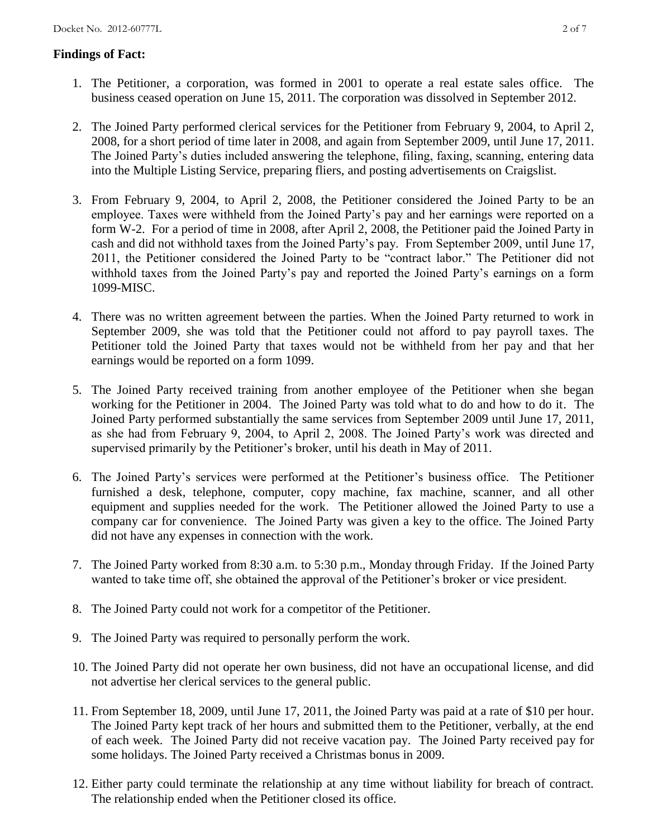## **Findings of Fact:**

- 1. The Petitioner, a corporation, was formed in 2001 to operate a real estate sales office. The business ceased operation on June 15, 2011. The corporation was dissolved in September 2012.
- 2. The Joined Party performed clerical services for the Petitioner from February 9, 2004, to April 2, 2008, for a short period of time later in 2008, and again from September 2009, until June 17, 2011. The Joined Party's duties included answering the telephone, filing, faxing, scanning, entering data into the Multiple Listing Service, preparing fliers, and posting advertisements on Craigslist.
- 3. From February 9, 2004, to April 2, 2008, the Petitioner considered the Joined Party to be an employee. Taxes were withheld from the Joined Party's pay and her earnings were reported on a form W-2. For a period of time in 2008, after April 2, 2008, the Petitioner paid the Joined Party in cash and did not withhold taxes from the Joined Party's pay. From September 2009, until June 17, 2011, the Petitioner considered the Joined Party to be "contract labor." The Petitioner did not withhold taxes from the Joined Party's pay and reported the Joined Party's earnings on a form 1099-MISC.
- 4. There was no written agreement between the parties. When the Joined Party returned to work in September 2009, she was told that the Petitioner could not afford to pay payroll taxes. The Petitioner told the Joined Party that taxes would not be withheld from her pay and that her earnings would be reported on a form 1099.
- 5. The Joined Party received training from another employee of the Petitioner when she began working for the Petitioner in 2004. The Joined Party was told what to do and how to do it. The Joined Party performed substantially the same services from September 2009 until June 17, 2011, as she had from February 9, 2004, to April 2, 2008. The Joined Party's work was directed and supervised primarily by the Petitioner's broker, until his death in May of 2011.
- 6. The Joined Party's services were performed at the Petitioner's business office. The Petitioner furnished a desk, telephone, computer, copy machine, fax machine, scanner, and all other equipment and supplies needed for the work. The Petitioner allowed the Joined Party to use a company car for convenience. The Joined Party was given a key to the office. The Joined Party did not have any expenses in connection with the work.
- 7. The Joined Party worked from 8:30 a.m. to 5:30 p.m., Monday through Friday. If the Joined Party wanted to take time off, she obtained the approval of the Petitioner's broker or vice president.
- 8. The Joined Party could not work for a competitor of the Petitioner.
- 9. The Joined Party was required to personally perform the work.
- 10. The Joined Party did not operate her own business, did not have an occupational license, and did not advertise her clerical services to the general public.
- 11. From September 18, 2009, until June 17, 2011, the Joined Party was paid at a rate of \$10 per hour. The Joined Party kept track of her hours and submitted them to the Petitioner, verbally, at the end of each week. The Joined Party did not receive vacation pay. The Joined Party received pay for some holidays. The Joined Party received a Christmas bonus in 2009.
- 12. Either party could terminate the relationship at any time without liability for breach of contract. The relationship ended when the Petitioner closed its office.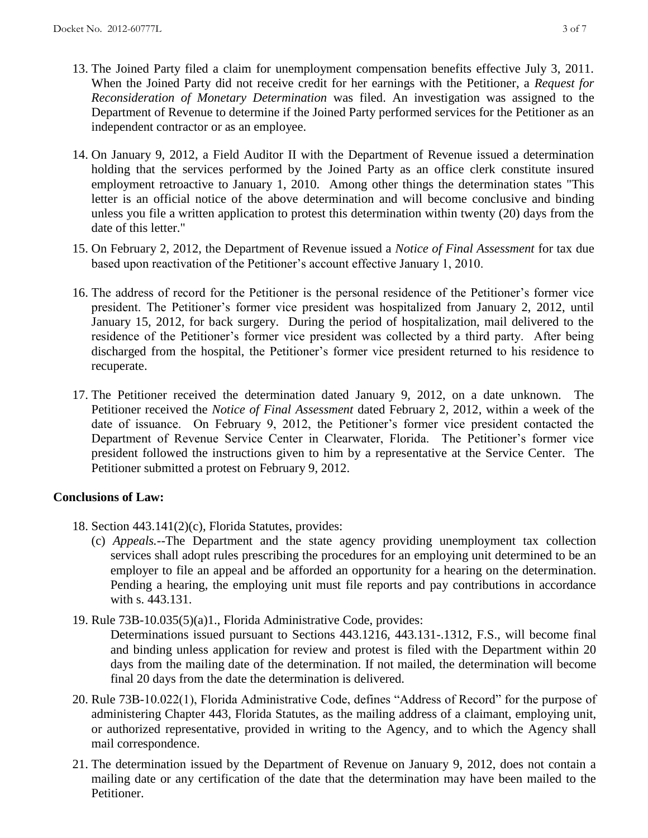- 13. The Joined Party filed a claim for unemployment compensation benefits effective July 3, 2011. When the Joined Party did not receive credit for her earnings with the Petitioner, a *Request for Reconsideration of Monetary Determination* was filed. An investigation was assigned to the Department of Revenue to determine if the Joined Party performed services for the Petitioner as an independent contractor or as an employee.
- 14. On January 9, 2012, a Field Auditor II with the Department of Revenue issued a determination holding that the services performed by the Joined Party as an office clerk constitute insured employment retroactive to January 1, 2010. Among other things the determination states "This letter is an official notice of the above determination and will become conclusive and binding unless you file a written application to protest this determination within twenty (20) days from the date of this letter."
- 15. On February 2, 2012, the Department of Revenue issued a *Notice of Final Assessment* for tax due based upon reactivation of the Petitioner's account effective January 1, 2010.
- 16. The address of record for the Petitioner is the personal residence of the Petitioner's former vice president. The Petitioner's former vice president was hospitalized from January 2, 2012, until January 15, 2012, for back surgery. During the period of hospitalization, mail delivered to the residence of the Petitioner's former vice president was collected by a third party. After being discharged from the hospital, the Petitioner's former vice president returned to his residence to recuperate.
- 17. The Petitioner received the determination dated January 9, 2012, on a date unknown. The Petitioner received the *Notice of Final Assessment* dated February 2, 2012, within a week of the date of issuance. On February 9, 2012, the Petitioner's former vice president contacted the Department of Revenue Service Center in Clearwater, Florida. The Petitioner's former vice president followed the instructions given to him by a representative at the Service Center. The Petitioner submitted a protest on February 9, 2012.

# **Conclusions of Law:**

- 18. Section 443.141(2)(c), Florida Statutes, provides:
	- (c) *Appeals.*--The Department and the state agency providing unemployment tax collection services shall adopt rules prescribing the procedures for an employing unit determined to be an employer to file an appeal and be afforded an opportunity for a hearing on the determination. Pending a hearing, the employing unit must file reports and pay contributions in accordance with s. 443.131.
- 19. Rule 73B-10.035(5)(a)1., Florida Administrative Code, provides:

Determinations issued pursuant to Sections 443.1216, 443.131-.1312, F.S., will become final and binding unless application for review and protest is filed with the Department within 20 days from the mailing date of the determination. If not mailed, the determination will become final 20 days from the date the determination is delivered.

- 20. Rule 73B-10.022(1), Florida Administrative Code, defines "Address of Record" for the purpose of administering Chapter 443, Florida Statutes, as the mailing address of a claimant, employing unit, or authorized representative, provided in writing to the Agency, and to which the Agency shall mail correspondence.
- 21. The determination issued by the Department of Revenue on January 9, 2012, does not contain a mailing date or any certification of the date that the determination may have been mailed to the Petitioner.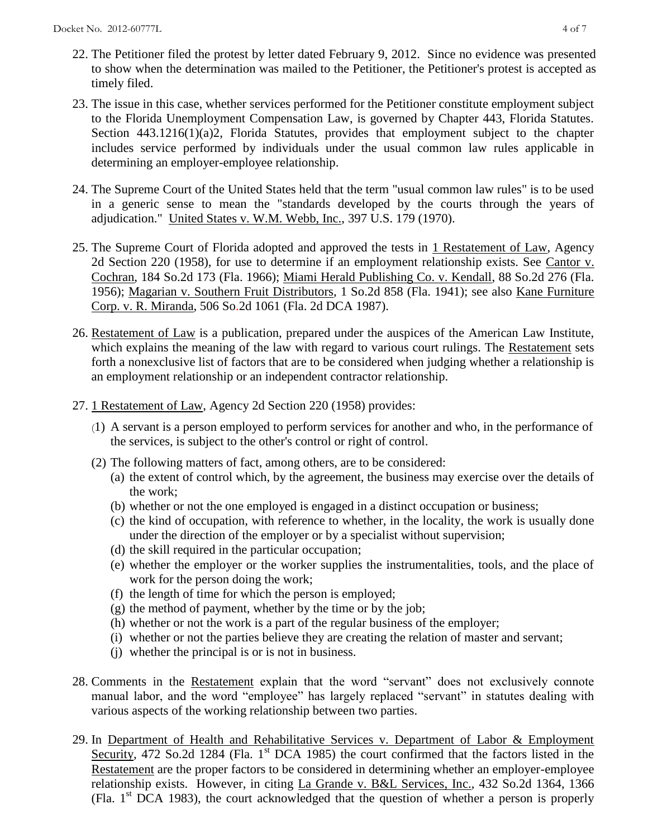- 22. The Petitioner filed the protest by letter dated February 9, 2012. Since no evidence was presented to show when the determination was mailed to the Petitioner, the Petitioner's protest is accepted as timely filed.
- 23. The issue in this case, whether services performed for the Petitioner constitute employment subject to the Florida Unemployment Compensation Law, is governed by Chapter 443, Florida Statutes. Section 443.1216(1)(a)2, Florida Statutes, provides that employment subject to the chapter includes service performed by individuals under the usual common law rules applicable in determining an employer-employee relationship.
- 24. The Supreme Court of the United States held that the term "usual common law rules" is to be used in a generic sense to mean the "standards developed by the courts through the years of adjudication." United States v. W.M. Webb, Inc., 397 U.S. 179 (1970).
- 25. The Supreme Court of Florida adopted and approved the tests in 1 Restatement of Law, Agency 2d Section 220 (1958), for use to determine if an employment relationship exists. See Cantor v. Cochran, 184 So.2d 173 (Fla. 1966); Miami Herald Publishing Co. v. Kendall, 88 So.2d 276 (Fla. 1956); Magarian v. Southern Fruit Distributors, 1 So.2d 858 (Fla. 1941); see also Kane Furniture Corp. v. R. Miranda, 506 So.2d 1061 (Fla. 2d DCA 1987).
- 26. Restatement of Law is a publication, prepared under the auspices of the American Law Institute, which explains the meaning of the law with regard to various court rulings. The Restatement sets forth a nonexclusive list of factors that are to be considered when judging whether a relationship is an employment relationship or an independent contractor relationship.
- 27. 1 Restatement of Law, Agency 2d Section 220 (1958) provides:
	- (1) A servant is a person employed to perform services for another and who, in the performance of the services, is subject to the other's control or right of control.
	- (2) The following matters of fact, among others, are to be considered:
		- (a) the extent of control which, by the agreement, the business may exercise over the details of the work;
		- (b) whether or not the one employed is engaged in a distinct occupation or business;
		- (c) the kind of occupation, with reference to whether, in the locality, the work is usually done under the direction of the employer or by a specialist without supervision;
		- (d) the skill required in the particular occupation;
		- (e) whether the employer or the worker supplies the instrumentalities, tools, and the place of work for the person doing the work;
		- (f) the length of time for which the person is employed;
		- (g) the method of payment, whether by the time or by the job;
		- (h) whether or not the work is a part of the regular business of the employer;
		- (i) whether or not the parties believe they are creating the relation of master and servant;
		- (j) whether the principal is or is not in business.
- 28. Comments in the Restatement explain that the word "servant" does not exclusively connote manual labor, and the word "employee" has largely replaced "servant" in statutes dealing with various aspects of the working relationship between two parties.
- 29. In Department of Health and Rehabilitative Services v. Department of Labor & Employment Security, 472 So.2d 1284 (Fla. 1<sup>st</sup> DCA 1985) the court confirmed that the factors listed in the Restatement are the proper factors to be considered in determining whether an employer-employee relationship exists. However, in citing La Grande v. B&L Services, Inc., 432 So.2d 1364, 1366 (Fla.  $1<sup>st</sup> DCA$  1983), the court acknowledged that the question of whether a person is properly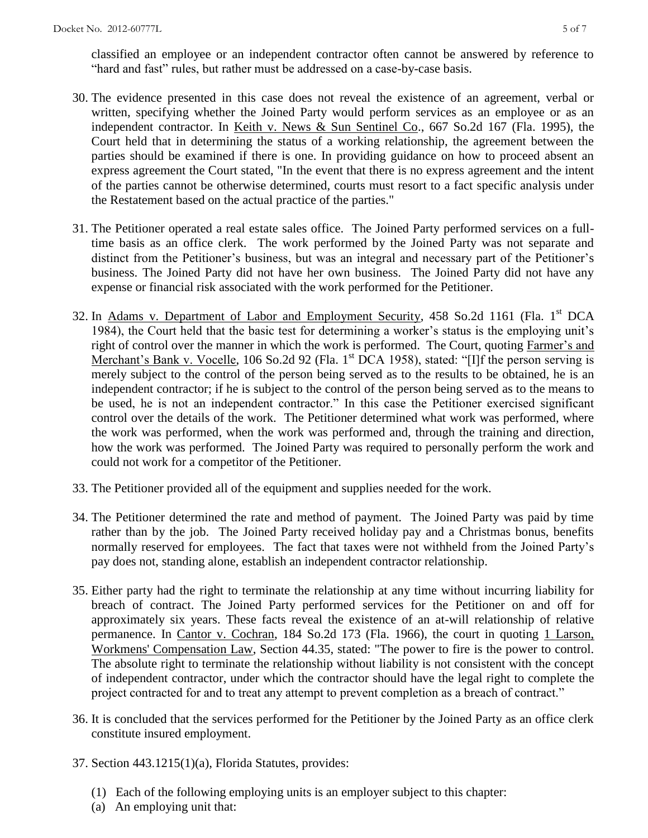classified an employee or an independent contractor often cannot be answered by reference to "hard and fast" rules, but rather must be addressed on a case-by-case basis.

- 30. The evidence presented in this case does not reveal the existence of an agreement, verbal or written, specifying whether the Joined Party would perform services as an employee or as an independent contractor. In Keith v. News & Sun Sentinel Co., 667 So.2d 167 (Fla. 1995), the Court held that in determining the status of a working relationship, the agreement between the parties should be examined if there is one. In providing guidance on how to proceed absent an express agreement the Court stated, "In the event that there is no express agreement and the intent of the parties cannot be otherwise determined, courts must resort to a fact specific analysis under the Restatement based on the actual practice of the parties."
- 31. The Petitioner operated a real estate sales office. The Joined Party performed services on a fulltime basis as an office clerk. The work performed by the Joined Party was not separate and distinct from the Petitioner's business, but was an integral and necessary part of the Petitioner's business. The Joined Party did not have her own business. The Joined Party did not have any expense or financial risk associated with the work performed for the Petitioner.
- 32. In Adams v. Department of Labor and Employment Security, 458 So.2d 1161 (Fla. 1<sup>st</sup> DCA 1984), the Court held that the basic test for determining a worker's status is the employing unit's right of control over the manner in which the work is performed. The Court, quoting Farmer's and Merchant's Bank v. Vocelle, 106 So.2d 92 (Fla. 1<sup>st</sup> DCA 1958), stated: "[I]f the person serving is merely subject to the control of the person being served as to the results to be obtained, he is an independent contractor; if he is subject to the control of the person being served as to the means to be used, he is not an independent contractor." In this case the Petitioner exercised significant control over the details of the work. The Petitioner determined what work was performed, where the work was performed, when the work was performed and, through the training and direction, how the work was performed. The Joined Party was required to personally perform the work and could not work for a competitor of the Petitioner.
- 33. The Petitioner provided all of the equipment and supplies needed for the work.
- 34. The Petitioner determined the rate and method of payment. The Joined Party was paid by time rather than by the job. The Joined Party received holiday pay and a Christmas bonus, benefits normally reserved for employees. The fact that taxes were not withheld from the Joined Party's pay does not, standing alone, establish an independent contractor relationship.
- 35. Either party had the right to terminate the relationship at any time without incurring liability for breach of contract. The Joined Party performed services for the Petitioner on and off for approximately six years. These facts reveal the existence of an at-will relationship of relative permanence. In Cantor v. Cochran, 184 So.2d 173 (Fla. 1966), the court in quoting 1 Larson, Workmens' Compensation Law, Section 44.35, stated: "The power to fire is the power to control. The absolute right to terminate the relationship without liability is not consistent with the concept of independent contractor, under which the contractor should have the legal right to complete the project contracted for and to treat any attempt to prevent completion as a breach of contract."
- 36. It is concluded that the services performed for the Petitioner by the Joined Party as an office clerk constitute insured employment.
- 37. Section 443.1215(1)(a), Florida Statutes, provides:
	- (1) Each of the following employing units is an employer subject to this chapter:
	- (a) An employing unit that: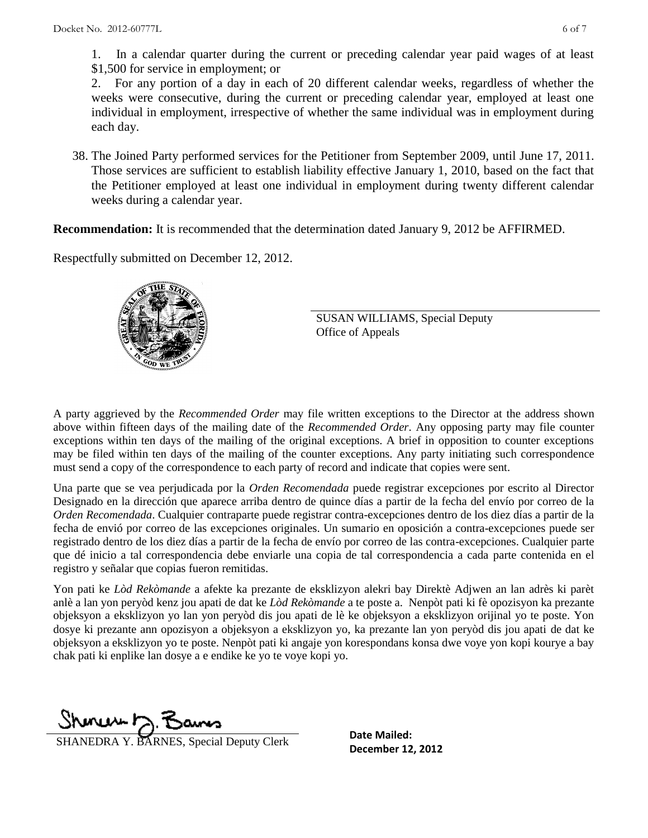1. In a calendar quarter during the current or preceding calendar year paid wages of at least \$1,500 for service in employment; or

 2. For any portion of a day in each of 20 different calendar weeks, regardless of whether the weeks were consecutive, during the current or preceding calendar year, employed at least one individual in employment, irrespective of whether the same individual was in employment during each day.

38. The Joined Party performed services for the Petitioner from September 2009, until June 17, 2011. Those services are sufficient to establish liability effective January 1, 2010, based on the fact that the Petitioner employed at least one individual in employment during twenty different calendar weeks during a calendar year.

**Recommendation:** It is recommended that the determination dated January 9, 2012 be AFFIRMED.

Respectfully submitted on December 12, 2012.



SUSAN WILLIAMS, Special Deputy Office of Appeals

A party aggrieved by the *Recommended Order* may file written exceptions to the Director at the address shown above within fifteen days of the mailing date of the *Recommended Order*. Any opposing party may file counter exceptions within ten days of the mailing of the original exceptions. A brief in opposition to counter exceptions may be filed within ten days of the mailing of the counter exceptions. Any party initiating such correspondence must send a copy of the correspondence to each party of record and indicate that copies were sent.

Una parte que se vea perjudicada por la *Orden Recomendada* puede registrar excepciones por escrito al Director Designado en la dirección que aparece arriba dentro de quince días a partir de la fecha del envío por correo de la *Orden Recomendada*. Cualquier contraparte puede registrar contra-excepciones dentro de los diez días a partir de la fecha de envió por correo de las excepciones originales. Un sumario en oposición a contra-excepciones puede ser registrado dentro de los diez días a partir de la fecha de envío por correo de las contra-excepciones. Cualquier parte que dé inicio a tal correspondencia debe enviarle una copia de tal correspondencia a cada parte contenida en el registro y señalar que copias fueron remitidas.

Yon pati ke *Lòd Rekòmande* a afekte ka prezante de eksklizyon alekri bay Direktè Adjwen an lan adrès ki parèt anlè a lan yon peryòd kenz jou apati de dat ke *Lòd Rekòmande* a te poste a. Nenpòt pati ki fè opozisyon ka prezante objeksyon a eksklizyon yo lan yon peryòd dis jou apati de lè ke objeksyon a eksklizyon orijinal yo te poste. Yon dosye ki prezante ann opozisyon a objeksyon a eksklizyon yo, ka prezante lan yon peryòd dis jou apati de dat ke objeksyon a eksklizyon yo te poste. Nenpòt pati ki angaje yon korespondans konsa dwe voye yon kopi kourye a bay chak pati ki enplike lan dosye a e endike ke yo te voye kopi yo.

Shonew b

**DECEMBER AND Y. BARNES, Special Deputy Clerk December 12, 2012** 

**Date Mailed:**